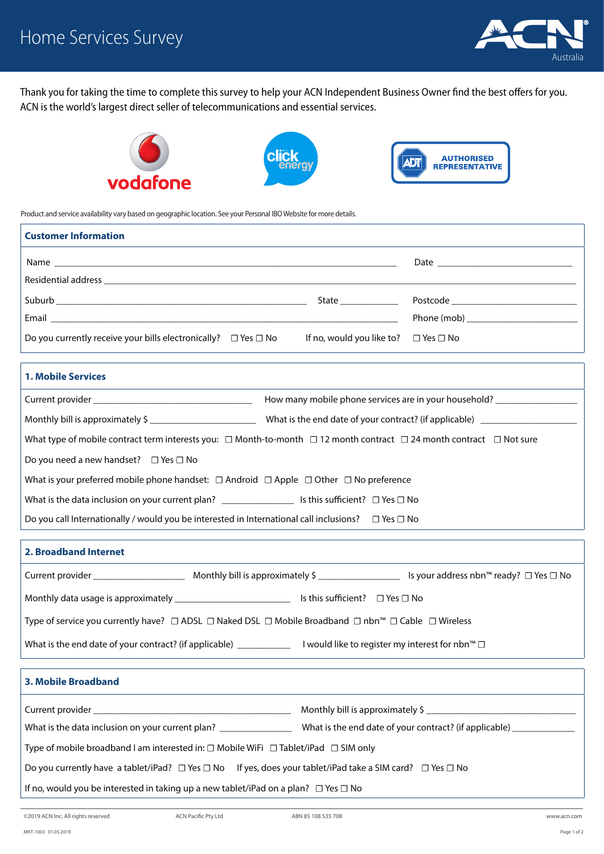

Thank you for taking the time to complete this survey to help your ACN Independent Business Owner find the best offers for you. ACN is the world's largest direct seller of telecommunications and essential services.





Product and service availability vary based on geographic location. See your Personal IBO Website for more details.

| <b>Customer Information</b>                                              |                                                |  |
|--------------------------------------------------------------------------|------------------------------------------------|--|
|                                                                          |                                                |  |
|                                                                          |                                                |  |
|                                                                          | State <b>State</b>                             |  |
|                                                                          |                                                |  |
| Do you currently receive your bills electronically? $\Box$ Yes $\Box$ No | If no, would you like to? $\Box$ Yes $\Box$ No |  |

| <b>1. Mobile Services</b>                                                                                                                |                                                                  |  |
|------------------------------------------------------------------------------------------------------------------------------------------|------------------------------------------------------------------|--|
|                                                                                                                                          | How many mobile phone services are in your household?            |  |
|                                                                                                                                          | What is the end date of your contract? (if applicable) _________ |  |
| What type of mobile contract term interests you: $\Box$ Month-to-month $\Box$ 12 month contract $\Box$ 24 month contract $\Box$ Not sure |                                                                  |  |
| Do you need a new handset? $\Box$ Yes $\Box$ No                                                                                          |                                                                  |  |
| What is your preferred mobile phone handset: $\Box$ Android $\Box$ Apple $\Box$ Other $\Box$ No preference                               |                                                                  |  |
| What is the data inclusion on your current plan? ________________________ Is this sufficient? $\Box$ Yes $\Box$ No                       |                                                                  |  |
| Do you call Internationally / would you be interested in International call inclusions?                                                  | $\Box$ Yes $\Box$ No                                             |  |

## **2. Broadband Internet** Current provider \_\_\_\_\_\_\_\_\_\_\_\_\_\_\_\_\_\_\_ Monthly bill is approximately \$ \_\_\_\_\_\_\_\_\_\_\_\_\_\_\_\_\_ Is your address nbn™ ready? *☐* Yes *☐* No Monthly data usage is approximately \_\_\_\_\_\_\_\_\_\_\_\_\_\_\_\_\_\_\_\_\_\_\_\_ Is this sufficient? *☐* Yes *☐* No Type of service you currently have? ☐ ADSL ☐ Naked DSL ☐ Mobile Broadband ☐ nbn™ ☐ Cable ☐ Wireless What is the end date of your contract? (if applicable) \_\_\_\_\_\_\_\_\_\_\_\_\_ I would like to register my interest for nbn™ □ **3. Mobile Broadband**

| Current provider and the contract of the contract of the contract of the contract of the contract of the contract of the contract of the contract of the contract of the contract of the contract of the contract of the contr |                                                        |  |
|--------------------------------------------------------------------------------------------------------------------------------------------------------------------------------------------------------------------------------|--------------------------------------------------------|--|
| What is the data inclusion on your current plan?                                                                                                                                                                               | What is the end date of your contract? (if applicable) |  |
| Type of mobile broadband I am interested in: $\Box$ Mobile WiFi $\Box$ Tablet/iPad $\Box$ SIM only                                                                                                                             |                                                        |  |
| Do you currently have a tablet/iPad? $\Box$ Yes $\Box$ No If yes, does your tablet/iPad take a SIM card? $\Box$ Yes $\Box$ No                                                                                                  |                                                        |  |
| If no, would you be interested in taking up a new tablet/iPad on a plan? $\Box$ Yes $\Box$ No                                                                                                                                  |                                                        |  |